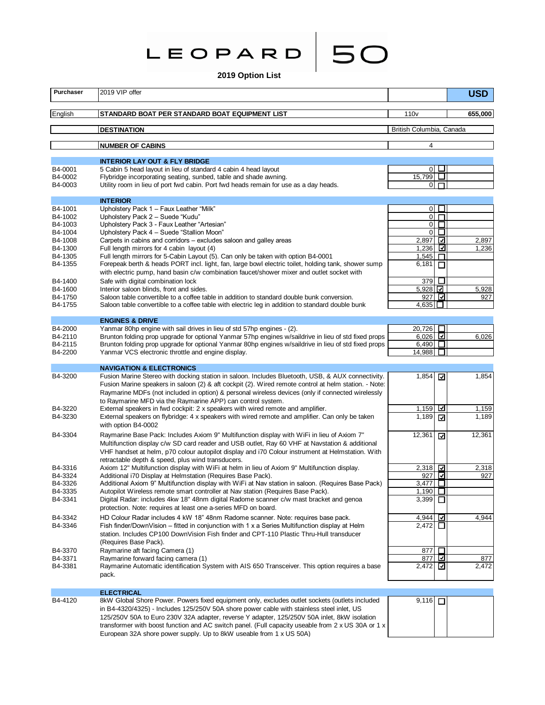**Leopard 50**

50

**2019 Option List**

| Purchaser          | 2019 VIP offer                                                                                                                                                                                     |                                  |                  | <b>USD</b>     |
|--------------------|----------------------------------------------------------------------------------------------------------------------------------------------------------------------------------------------------|----------------------------------|------------------|----------------|
| English            | STANDARD BOAT PER STANDARD BOAT EQUIPMENT LIST                                                                                                                                                     | 110 <sub>v</sub>                 |                  | 655,000        |
|                    | <b>DESTINATION</b>                                                                                                                                                                                 | British Columbia, Canada         |                  |                |
|                    | <b>NUMBER OF CABINS</b>                                                                                                                                                                            | 4                                |                  |                |
|                    |                                                                                                                                                                                                    |                                  |                  |                |
| B4-0001            | <b>INTERIOR LAY OUT &amp; FLY BRIDGE</b><br>5 Cabin 5 head layout in lieu of standard 4 cabin 4 head layout                                                                                        | $\circ$ $\Box$                   |                  |                |
| B4-0002            | Flybridge incorporating seating, sunbed, table and shade awning.                                                                                                                                   | 15,799 $\Box$                    |                  |                |
| B4-0003            | Utility room in lieu of port fwd cabin. Port fwd heads remain for use as a day heads.                                                                                                              | $\overline{0}$                   | $\Box$           |                |
|                    | <b>INTERIOR</b>                                                                                                                                                                                    |                                  |                  |                |
| B4-1001            | Upholstery Pack 1 - Faux Leather "Milk"                                                                                                                                                            | $0\Box$                          |                  |                |
| B4-1002            | Upholstery Pack 2 - Suede "Kudu"                                                                                                                                                                   | $\overline{0}$                   | $\Box$<br>$\Box$ |                |
| B4-1003<br>B4-1004 | Upholstery Pack 3 - Faux Leather "Artesian"<br>Upholstery Pack 4 - Suede "Stallion Moon"                                                                                                           | $\overline{0}$<br>$\overline{0}$ | $\Box$           |                |
| B4-1008            | Carpets in cabins and corridors – excludes saloon and galley areas                                                                                                                                 | 2,897                            | ☑                | 2,897          |
| B4-1300            | Full length mirrors for 4 cabin layout (4)                                                                                                                                                         | 1,236                            | ⊡                | 1,236          |
| B4-1305            | Full length mirrors for 5-Cabin Layout (5). Can only be taken with option B4-0001                                                                                                                  | 1,545                            | п                |                |
| B4-1355            | Forepeak berth & heads PORT incl. light, fan, large bowl electric toilet, holding tank, shower sump                                                                                                | 6,181                            | □                |                |
|                    | with electric pump, hand basin c/w combination faucet/shower mixer and outlet socket with                                                                                                          |                                  |                  |                |
| B4-1400<br>B4-1600 | Safe with digital combination lock<br>Interior saloon blinds, front and sides.                                                                                                                     | 379<br>5,928                     | $\Box$           | 5,928          |
| B4-1750            | Saloon table convertible to a coffee table in addition to standard double bunk conversion.                                                                                                         | 927 회                            |                  | 927            |
| B4-1755            | Saloon table convertible to a coffee table with electric leg in addition to standard double bunk                                                                                                   | 4.635 □                          |                  |                |
|                    | <b>ENGINES &amp; DRIVE</b>                                                                                                                                                                         |                                  |                  |                |
| B4-2000            | Yanmar 80hp engine with sail drives in lieu of std 57hp engines - (2).                                                                                                                             | 20,726                           | П                |                |
| B4-2110            | Brunton folding prop upgrade for optional Yanmar 57hp engines w/saildrive in lieu of std fixed props                                                                                               | $6,026$ $\Box$                   |                  | 6,026          |
| B4-2115            | Brunton folding prop upgrade for optional Yanmar 80hp engines w/saildrive in lieu of std fixed props                                                                                               | 6,490 $\Box$                     |                  |                |
| B4-2200            | Yanmar VCS electronic throttle and engine display.                                                                                                                                                 | 14,988                           | ப                |                |
|                    | <b>NAVIGATION &amp; ELECTRONICS</b>                                                                                                                                                                |                                  |                  |                |
| B4-3200            | Fusion Marine Stereo with docking station in saloon. Includes Bluetooth, USB, & AUX connectivity.                                                                                                  | 1,854                            | ⊡                | 1,854          |
|                    | Fusion Marine speakers in saloon (2) & aft cockpit (2). Wired remote control at helm station. - Note:                                                                                              |                                  |                  |                |
|                    | Raymarine MDFs (not included in option) & personal wireless devices (only if connected wirelessly                                                                                                  |                                  |                  |                |
|                    | to Raymarine MFD via the Raymarine APP) can control system.                                                                                                                                        |                                  |                  |                |
| B4-3220<br>B4-3230 | External speakers in fwd cockpit: 2 x speakers with wired remote and amplifier.<br>External speakers on flybridge: 4 x speakers with wired remote and amplifier. Can only be taken                 | 1,159<br>1,189                   | ⊻<br>⊡           | 1,159<br>1,189 |
|                    | with option B4-0002                                                                                                                                                                                |                                  |                  |                |
| B4-3304            | Raymarine Base Pack: Includes Axiom 9" Multifunction display with WiFi in lieu of Axiom 7"                                                                                                         | 12,361                           | ☑                | 12,361         |
|                    | Multifunction display c/w SD card reader and USB outlet, Ray 60 VHF at Navstation & additional<br>VHF handset at helm, p70 colour autopilot display and i70 Colour instrument at Helmstation. With |                                  |                  |                |
|                    | retractable depth & speed, plus wind transducers.                                                                                                                                                  |                                  |                  |                |
| B4-3316<br>B4-3324 | Axiom 12" Multifunction display with WiFi at helm in lieu of Axiom 9" Multifunction display.<br>Additional i70 Display at Helmstation (Requires Base Pack).                                        | 2,318<br>927                     | ⊡<br>び           | 2,318<br>927   |
| B4-3326            | Additional Axiom 9" Multifunction display with WiFi at Nav station in saloon. (Requires Base Pack)                                                                                                 | 3,477                            | ப                |                |
| B4-3335            | Autopilot Wireless remote smart controller at Nav station (Requires Base Pack).                                                                                                                    | 1,190  ∐                         |                  |                |
| B4-3341            | Digital Radar: includes 4kw 18" 48nm digital Radome scanner c/w mast bracket and genoa                                                                                                             | 3,399                            |                  |                |
|                    | protection. Note: requires at least one a-series MFD on board.                                                                                                                                     |                                  |                  |                |
| B4-3342<br>B4-3346 | HD Colour Radar includes 4 kW 18" 48nm Radome scanner. Note: requires base pack.<br>Fish finder/DownVision – fitted in conjunction with 1 x a Series Multifunction display at Helm                 | 4,944<br>2,472                   | ⊡                | 4,944          |
|                    | station. Includes CP100 DownVision Fish finder and CPT-110 Plastic Thru-Hull transducer                                                                                                            |                                  |                  |                |
|                    | (Requires Base Pack).                                                                                                                                                                              |                                  |                  |                |
| B4-3370            | Raymarine aft facing Camera (1)                                                                                                                                                                    | 877                              | $\Box$           |                |
| B4-3371            | Raymarine forward facing camera (1)                                                                                                                                                                | 877                              | ☑                | 877            |
| B4-3381            | Raymarine Automatic identification System with AIS 650 Transceiver. This option requires a base                                                                                                    | 2,472   네                        |                  | 2,472          |
|                    | pack.                                                                                                                                                                                              |                                  |                  |                |
|                    | <b>ELECTRICAL</b>                                                                                                                                                                                  |                                  |                  |                |
| B4-4120            | 8kW Global Shore Power. Powers fixed equipment only, excludes outlet sockets (outlets included                                                                                                     | $9,116$ $\Box$                   |                  |                |
|                    | in B4-4320/4325) - Includes 125/250V 50A shore power cable with stainless steel inlet, US                                                                                                          |                                  |                  |                |
|                    | 125/250V 50A to Euro 230V 32A adapter, reverse Y adapter, 125/250V 50A inlet, 8kW isolation<br>transformer with boost function and AC switch panel. (Full capacity useable from 2 x US 30A or 1 x  |                                  |                  |                |
|                    | European 32A shore power supply. Up to 8kW useable from 1 x US 50A)                                                                                                                                |                                  |                  |                |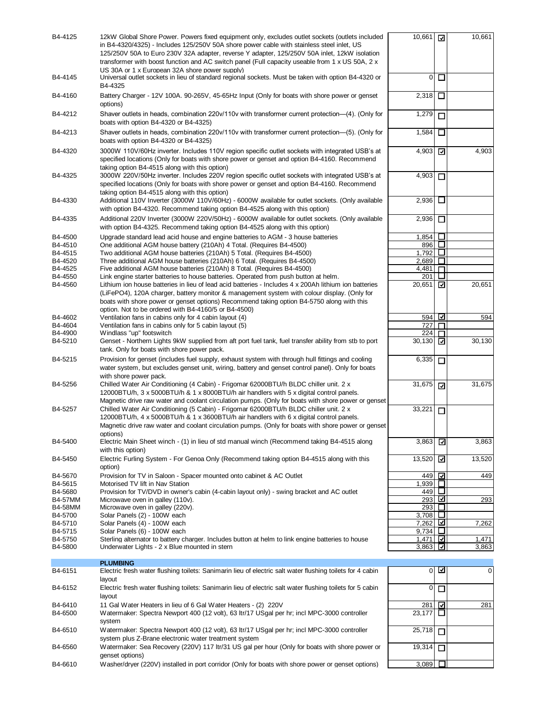| B4-4125            | 12kW Global Shore Power. Powers fixed equipment only, excludes outlet sockets (outlets included<br>in B4-4320/4325) - Includes 125/250V 50A shore power cable with stainless steel inlet, US<br>125/250V 50A to Euro 230V 32A adapter, reverse Y adapter, 125/250V 50A inlet, 12kW isolation<br>transformer with boost function and AC switch panel (Full capacity useable from 1 x US 50A, 2 x<br>US 30A or 1 x European 32A shore power supply) | 10,661 $\sqrt{ }$       |                          | 10,661 |
|--------------------|---------------------------------------------------------------------------------------------------------------------------------------------------------------------------------------------------------------------------------------------------------------------------------------------------------------------------------------------------------------------------------------------------------------------------------------------------|-------------------------|--------------------------|--------|
| B4-4145            | Universal outlet sockets in lieu of standard regional sockets. Must be taken with option B4-4320 or<br>B4-4325                                                                                                                                                                                                                                                                                                                                    | 0                       | $\Box$                   |        |
| B4-4160            | Battery Charger - 12V 100A. 90-265V, 45-65Hz Input (Only for boats with shore power or genset<br>options)                                                                                                                                                                                                                                                                                                                                         | 2,318                   | □                        |        |
| B4-4212            | Shaver outlets in heads, combination 220v/110v with transformer current protection—(4). (Only for<br>boats with option B4-4320 or B4-4325)                                                                                                                                                                                                                                                                                                        | 1,279                   | П                        |        |
| B4-4213            | Shaver outlets in heads, combination 220v/110v with transformer current protection—(5). (Only for<br>boats with option B4-4320 or B4-4325)                                                                                                                                                                                                                                                                                                        | 1,584                   | $\Box$                   |        |
| B4-4320            | 3000W 110V/60Hz inverter. Includes 110V region specific outlet sockets with integrated USB's at<br>specified locations (Only for boats with shore power or genset and option B4-4160. Recommend<br>taking option B4-4515 along with this option)                                                                                                                                                                                                  | 4,903                   |                          | 4,903  |
| B4-4325            | 3000W 220V/50Hz inverter. Includes 220V region specific outlet sockets with integrated USB's at<br>specified locations (Only for boats with shore power or genset and option B4-4160. Recommend<br>taking option B4-4515 along with this option)                                                                                                                                                                                                  | 4,903                   | □                        |        |
| B4-4330            | Additional 110V Inverter (3000W 110V/60Hz) - 6000W available for outlet sockets. (Only available<br>with option B4-4320. Recommend taking option B4-4525 along with this option)                                                                                                                                                                                                                                                                  | 2,936                   |                          |        |
| B4-4335            | Additional 220V Inverter (3000W 220V/50Hz) - 6000W available for outlet sockets. (Only available<br>with option B4-4325. Recommend taking option B4-4525 along with this option)                                                                                                                                                                                                                                                                  | 2,936                   | □                        |        |
| B4-4500<br>B4-4510 | Upgrade standard lead acid house and engine batteries to AGM - 3 house batteries<br>One additional AGM house battery (210Ah) 4 Total. (Requires B4-4500)                                                                                                                                                                                                                                                                                          | 1,854<br>896            | $\Box$<br>$\perp$        |        |
| B4-4515            | Two additional AGM house batteries (210Ah) 5 Total. (Requires B4-4500)                                                                                                                                                                                                                                                                                                                                                                            | 1,792                   | ⊔                        |        |
| B4-4520            | Three additional AGM house batteries (210Ah) 6 Total. (Requires B4-4500)                                                                                                                                                                                                                                                                                                                                                                          | 2,689                   | П                        |        |
| B4-4525            | Five additional AGM house batteries (210Ah) 8 Total. (Requires B4-4500)                                                                                                                                                                                                                                                                                                                                                                           | 4,481                   |                          |        |
| B4-4550<br>B4-4560 | Link engine starter batteries to house batteries. Operated from push button at helm.<br>Lithium ion house batteries in lieu of lead acid batteries - Includes 4 x 200Ah lithium ion batteries                                                                                                                                                                                                                                                     | 201<br>20,651           | ☑                        | 20,651 |
|                    | (LiFePO4), 120A charger, battery monitor & management system with colour display. (Only for<br>boats with shore power or genset options) Recommend taking option B4-5750 along with this<br>option. Not to be ordered with B4-4160/5 or B4-4500)                                                                                                                                                                                                  |                         |                          |        |
| B4-4602            | Ventilation fans in cabins only for 4 cabin layout (4)                                                                                                                                                                                                                                                                                                                                                                                            | 594                     | ∣⊡                       | 594    |
| B4-4604            | Ventilation fans in cabins only for 5 cabin layout (5)                                                                                                                                                                                                                                                                                                                                                                                            | 727                     |                          |        |
| B4-4900<br>B4-5210 | Windlass "up" footswitch                                                                                                                                                                                                                                                                                                                                                                                                                          | 224<br>30,130           | $\Box$                   | 30,130 |
|                    | Genset - Northern Lights 9kW supplied from aft port fuel tank, fuel transfer ability from stb to port<br>tank. Only for boats with shore power pack.                                                                                                                                                                                                                                                                                              |                         | ☑                        |        |
| B4-5215            | Provision for genset (includes fuel supply, exhaust system with through hull fittings and cooling<br>water system, but excludes genset unit, wiring, battery and genset control panel). Only for boats<br>with shore power pack.                                                                                                                                                                                                                  | 6,335                   | □                        |        |
| B4-5256            | Chilled Water Air Conditioning (4 Cabin) - Frigomar 62000BTU/h BLDC chiller unit. 2 x<br>12000BTU/h, 3 x 5000BTU/h & 1 x 8000BTU/h air handlers with 5 x digital control panels.<br>Magnetic drive raw water and coolant circulation pumps. (Only for boats with shore power or genset                                                                                                                                                            | 31,675                  | ⊡                        | 31,675 |
| B4-5257            | Chilled Water Air Conditioning (5 Cabin) - Frigomar 62000BTU/h BLDC chiller unit. 2 x<br>12000BTU/h, 4 x 5000BTU/h & 1 x 3600BTU/h air handlers with 6 x digital control panels.<br>Magnetic drive raw water and coolant circulation pumps. (Only for boats with shore power or genset<br>options)                                                                                                                                                | 33,221                  | □                        |        |
| B4-5400            | Electric Main Sheet winch - (1) in lieu of std manual winch (Recommend taking B4-4515 along<br>with this option)                                                                                                                                                                                                                                                                                                                                  | 3,863                   | ☑                        | 3,863  |
| B4-5450            | Electric Furling System - For Genoa Only (Recommend taking option B4-4515 along with this<br>option)                                                                                                                                                                                                                                                                                                                                              | 13,520                  | $\overline{\phantom{a}}$ | 13,520 |
| B4-5670<br>B4-5615 | Provision for TV in Saloon - Spacer mounted onto cabinet & AC Outlet<br>Motorised TV lift in Nav Station                                                                                                                                                                                                                                                                                                                                          | 449<br>1,939 $\Box$     | ☑                        | 449    |
| B4-5680            | Provision for TV/DVD in owner's cabin (4-cabin layout only) - swing bracket and AC outlet                                                                                                                                                                                                                                                                                                                                                         | 449 $\square$           |                          |        |
| <b>B4-57MM</b>     | Microwave oven in galley (110v).                                                                                                                                                                                                                                                                                                                                                                                                                  | 293 ⊡                   |                          | 293    |
| <b>B4-58MM</b>     | Microwave oven in galley (220v).                                                                                                                                                                                                                                                                                                                                                                                                                  | 293∣ □                  |                          |        |
| B4-5700            | Solar Panels (2) - 100W each                                                                                                                                                                                                                                                                                                                                                                                                                      | 3,708 $\Box$<br>7,262 ⊡ |                          |        |
| B4-5710<br>B4-5715 | Solar Panels (4) - 100W each<br>Solar Panels (6) - 100W each                                                                                                                                                                                                                                                                                                                                                                                      | 9,734 $\Box$            |                          | 7,262  |
| B4-5750            | Sterling alternator to battery charger. Includes button at helm to link engine batteries to house                                                                                                                                                                                                                                                                                                                                                 | 1,471 $\Box$            |                          | 1,471  |
| B4-5800            | Underwater Lights - 2 x Blue mounted in stern                                                                                                                                                                                                                                                                                                                                                                                                     | 3,863 네                 |                          | 3,863  |
|                    | <b>PLUMBING</b>                                                                                                                                                                                                                                                                                                                                                                                                                                   |                         |                          |        |
| B4-6151            | Electric fresh water flushing toilets: Sanimarin lieu of electric salt water flushing toilets for 4 cabin<br>layout                                                                                                                                                                                                                                                                                                                               |                         | $0\sqrt{2}$              | 0      |
| B4-6152            | Electric fresh water flushing toilets: Sanimarin lieu of electric salt water flushing toilets for 5 cabin<br>layout                                                                                                                                                                                                                                                                                                                               | 0                       | $\Box$                   |        |
| B4-6410<br>B4-6500 | 11 Gal Water Heaters in lieu of 6 Gal Water Heaters - (2) 220V<br>Watermaker: Spectra Newport 400 (12 volt), 63 ltr/17 USgal per hr; incl MPC-3000 controller                                                                                                                                                                                                                                                                                     | 281<br>23,177           | ⊡<br>$\Box$              | 281    |
| B4-6510            | system<br>Watermaker: Spectra Newport 400 (12 volt), 63 ltr/17 USgal per hr; incl MPC-3000 controller                                                                                                                                                                                                                                                                                                                                             | 25,718                  | □                        |        |
| B4-6560            | system plus Z-Brane electronic water treatment system<br>Watermaker: Sea Recovery (220V) 117 ltr/31 US gal per hour (Only for boats with shore power or<br>genset options)                                                                                                                                                                                                                                                                        | 19,314                  | $\Box$                   |        |
| B4-6610            | Washer/dryer (220V) installed in port corridor (Only for boats with shore power or genset options)                                                                                                                                                                                                                                                                                                                                                | 3,089                   |                          |        |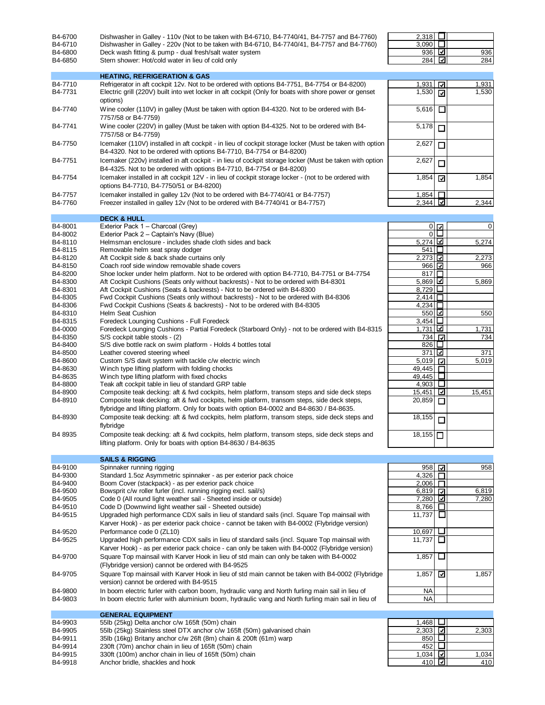| B4-6700<br>B4-6710<br>B4-6800<br>B4-6850 | Dishwasher in Galley - 110v (Not to be taken with B4-6710, B4-7740/41, B4-7757 and B4-7760)<br>Dishwasher in Galley - 220v (Not to be taken with B4-6710, B4-7740/41, B4-7757 and B4-7760)<br>Deck wash fitting & pump - dual fresh/salt water system<br>Stern shower: Hot/cold water in lieu of cold only | 2,318<br>3,090<br>936 $\boxed{1}$<br>284 $\overline{\mathbf{u}}$ | ப<br>⊔                  | 936<br>284     |
|------------------------------------------|------------------------------------------------------------------------------------------------------------------------------------------------------------------------------------------------------------------------------------------------------------------------------------------------------------|------------------------------------------------------------------|-------------------------|----------------|
|                                          | <b>HEATING, REFRIGERATION &amp; GAS</b>                                                                                                                                                                                                                                                                    |                                                                  |                         |                |
| B4-7710<br>B4-7731                       | Refrigerator in aft cockpit 12v. Not to be ordered with options B4-7751, B4-7754 or B4-8200)<br>Electric grill (220V) built into wet locker in aft cockpit (Only for boats with shore power or genset                                                                                                      | 1,931<br>1,530                                                   | ⊡<br>⊡                  | 1,931<br>1,530 |
| B4-7740                                  | options)<br>Wine cooler (110V) in galley (Must be taken with option B4-4320. Not to be ordered with B4-<br>7757/58 or B4-7759)                                                                                                                                                                             | 5,616                                                            | □                       |                |
| B4-7741                                  | Wine cooler (220V) in galley (Must be taken with option B4-4325. Not to be ordered with B4-                                                                                                                                                                                                                | 5,178                                                            | $\Box$                  |                |
| B4-7750                                  | 7757/58 or B4-7759)<br>Icemaker (110V) installed in aft cockpit - in lieu of cockpit storage locker (Must be taken with option                                                                                                                                                                             | 2,627                                                            | $\Box$                  |                |
| B4-7751                                  | B4-4320. Not to be ordered with options B4-7710, B4-7754 or B4-8200)<br>Icemaker (220v) installed in aft cockpit - in lieu of cockpit storage locker (Must be taken with option                                                                                                                            | 2,627                                                            | $\Box$                  |                |
| B4-7754                                  | B4-4325. Not to be ordered with options B4-7710, B4-7754 or B4-8200)<br>Icemaker installed in aft cockpit 12V - in lieu of cockpit storage locker - (not to be ordered with<br>options B4-7710, B4-7750/51 or B4-8200)                                                                                     | 1,854                                                            | ⊡                       | 1,854          |
| B4-7757<br>B4-7760                       | Icemaker installed in galley 12v (Not to be ordered with B4-7740/41 or B4-7757)<br>Freezer installed in galley 12v (Not to be ordered with B4-7740/41 or B4-7757)                                                                                                                                          | 1,854<br>$2,344$ $\Box$                                          |                         | 2,344          |
|                                          |                                                                                                                                                                                                                                                                                                            |                                                                  |                         |                |
|                                          | <b>DECK &amp; HULL</b>                                                                                                                                                                                                                                                                                     |                                                                  |                         |                |
| B4-8001                                  | Exterior Pack 1 - Charcoal (Grey)                                                                                                                                                                                                                                                                          |                                                                  | $\overline{0}$          | 0              |
| B4-8002                                  | Exterior Pack 2 - Captain's Navy (Blue)                                                                                                                                                                                                                                                                    |                                                                  | $\overline{\mathrm{O}}$ |                |
| B4-8110                                  | Helmsman enclosure - includes shade cloth sides and back                                                                                                                                                                                                                                                   | 5,274 년<br>541 □                                                 |                         | 5,274          |
| B4-8115<br>B4-8120                       | Removable helm seat spray dodger<br>Aft Cockpit side & back shade curtains only                                                                                                                                                                                                                            | 2,273                                                            |                         | 2,273          |
| B4-8150                                  | Coach roof side window removable shade covers                                                                                                                                                                                                                                                              | 966 고                                                            |                         | 966            |
| B4-8200                                  | Shoe locker under helm platform. Not to be ordered with option B4-7710, B4-7751 or B4-7754                                                                                                                                                                                                                 | 817 $\Box$                                                       |                         |                |
| B4-8300                                  | Aft Cockpit Cushions (Seats only without backrests) - Not to be ordered with B4-8301                                                                                                                                                                                                                       | $5,869$ $\overline{\blacksquare}$                                |                         | 5,869          |
| B4-8301                                  | Aft Cockpit Cushions (Seats & backrests) - Not to be ordered with B4-8300                                                                                                                                                                                                                                  | 8,729                                                            |                         |                |
| B4-8305                                  | Fwd Cockpit Cushions (Seats only without backrests) - Not to be ordered with B4-8306                                                                                                                                                                                                                       | $2,414$ $\Box$                                                   |                         |                |
| B4-8306<br>B4-8310                       | Fwd Cockpit Cushions (Seats & backrests) - Not to be ordered with B4-8305<br>Helm Seat Cushion                                                                                                                                                                                                             | $4,234$ $\Box$<br>$550$ $\overline{\Delta}$                      |                         |                |
| B4-8315                                  | Foredeck Lounging Cushions - Full Foredeck                                                                                                                                                                                                                                                                 | 3,454 $\Box$                                                     |                         | 550            |
| B4-0000                                  | Foredeck Lounging Cushions - Partial Foredeck (Starboard Only) - not to be ordered with B4-8315                                                                                                                                                                                                            | 1,731 $\Box$                                                     |                         | 1,731          |
| B4-8350                                  | S/S cockpit table stools - (2)                                                                                                                                                                                                                                                                             | 734                                                              | जि                      | 734            |
| B4-8400                                  | S/S dive bottle rack on swim platform - Holds 4 bottles total                                                                                                                                                                                                                                              | 826 L                                                            |                         |                |
| B4-8500                                  | Leather covered steering wheel                                                                                                                                                                                                                                                                             | 371                                                              | IØ.                     | 371            |
| B4-8600                                  | Custom S/S davit system with tackle c/w electric winch                                                                                                                                                                                                                                                     | 5,019                                                            | ☑                       | 5,019          |
| B4-8630                                  | Winch type lifting platform with folding chocks                                                                                                                                                                                                                                                            | 49,445                                                           | п<br>ப                  |                |
| B4-8635<br>B4-8800                       | Winch type lifting platform with fixed chocks<br>Teak aft cockpit table in lieu of standard GRP table                                                                                                                                                                                                      | 49,445<br>4,903                                                  | ப                       |                |
| B4-8900                                  | Composite teak decking: aft & fwd cockpits, helm platform, transom steps and side deck steps                                                                                                                                                                                                               | 15,451                                                           | ☑                       | 15,451         |
| B4-8910                                  | Composite teak decking: aft & fwd cockpits, helm platform, transom steps, side deck steps,<br>flybridge and lifting platform. Only for boats with option B4-0002 and B4-8630 / B4-8635.                                                                                                                    | 20,859                                                           | □                       |                |
| B4-8930                                  | Composite teak decking: aft & fwd cockpits, helm platform, transom steps, side deck steps and<br>flybridge                                                                                                                                                                                                 | 18,155                                                           | $\Box$                  |                |
| B4 8935                                  | Composite teak decking: aft & fwd cockpits, helm platform, transom steps, side deck steps and<br>lifting platform. Only for boats with option B4-8630 / B4-8635                                                                                                                                            | $\overline{18}$ , 155 $\Box$                                     |                         |                |
|                                          |                                                                                                                                                                                                                                                                                                            |                                                                  |                         |                |
|                                          | <b>SAILS &amp; RIGGING</b>                                                                                                                                                                                                                                                                                 |                                                                  |                         |                |
| B4-9100                                  | Spinnaker running rigging                                                                                                                                                                                                                                                                                  | $958$ $\Box$                                                     |                         | 958            |
| B4-9300<br>B4-9400                       | Standard 1.5oz Asymmetric spinnaker - as per exterior pack choice<br>Boom Cover (stackpack) - as per exterior pack choice                                                                                                                                                                                  | 4,326<br>2,006                                                   | $\Box$                  |                |
| B4-9500                                  | Bowsprit c/w roller furler (incl. running rigging excl. sail/s)                                                                                                                                                                                                                                            | $6,819$ $\Box$                                                   |                         | 6,819          |
| B4-9505                                  | Code 0 (All round light weather sail - Sheeted inside or outside)                                                                                                                                                                                                                                          | 7,280 그                                                          |                         | 7,280          |
| B4-9510                                  | Code D (Downwind light weather sail - Sheeted outside)                                                                                                                                                                                                                                                     | 8,766                                                            | ΙI                      |                |
| B4-9515                                  | Upgraded high performance CDX sails in lieu of standard sails (incl. Square Top mainsail with<br>Karver Hook) - as per exterior pack choice - cannot be taken with B4-0002 (Flybridge version)                                                                                                             | 11,737                                                           | ப                       |                |
| B4-9520                                  | Performance code 0 (ZL10)                                                                                                                                                                                                                                                                                  | 10,697                                                           | ப                       |                |
| B4-9525                                  | Upgraded high performance CDX sails in lieu of standard sails (incl. Square Top mainsail with<br>Karver Hook) - as per exterior pack choice - can only be taken with B4-0002 (Flybridge version)                                                                                                           | 11.737                                                           | □                       |                |
| B4-9700                                  | Square Top mainsail with Karver Hook in lieu of std main can only be taken with B4-0002<br>(Flybridge version) cannot be ordered with B4-9525                                                                                                                                                              | 1,857                                                            | ப                       |                |
| B4-9705                                  | Square Top mainsail with Karver Hook in lieu of std main cannot be taken with B4-0002 (Flybridge<br>version) cannot be ordered with B4-9515                                                                                                                                                                | 1,857                                                            | ⊡                       | 1,857          |
| B4-9800                                  | In boom electric furler with carbon boom, hydraulic vang and North furling main sail in lieu of                                                                                                                                                                                                            | NA                                                               |                         |                |
| B4-9803                                  | In boom electric furler with aluminium boom, hydraulic vang and North furling main sail in lieu of                                                                                                                                                                                                         | <b>NA</b>                                                        |                         |                |
|                                          | <b>GENERAL EQUIPMENT</b>                                                                                                                                                                                                                                                                                   |                                                                  |                         |                |
| B4-9903                                  | 55lb (25kg) Delta anchor c/w 165ft (50m) chain                                                                                                                                                                                                                                                             | 1,468 $\Box$                                                     |                         |                |
| B4-9905                                  | 55lb (25kg) Stainless steel DTX anchor c/w 165ft (50m) galvanised chain                                                                                                                                                                                                                                    | 2,303 $\sqrt{2}$                                                 |                         | 2,303          |
| B4-9911                                  | 35lb (16kg) Britany anchor c/w 26ft (8m) chain & 200ft (61m) warp                                                                                                                                                                                                                                          | 850 $\Box$                                                       |                         |                |
| B4-9914                                  | 230ft (70m) anchor chain in lieu of 165ft (50m) chain                                                                                                                                                                                                                                                      | 452                                                              | ப                       |                |

B4-9915 330ft (100m) anchor chain in lieu of 165ft (50m) chain 1,000 1,000 1,000 1,034 1,034 1,034 1,034 B4-9918 Anchor bridle, shackles and hook  $410$   $\overline{2}$   $410$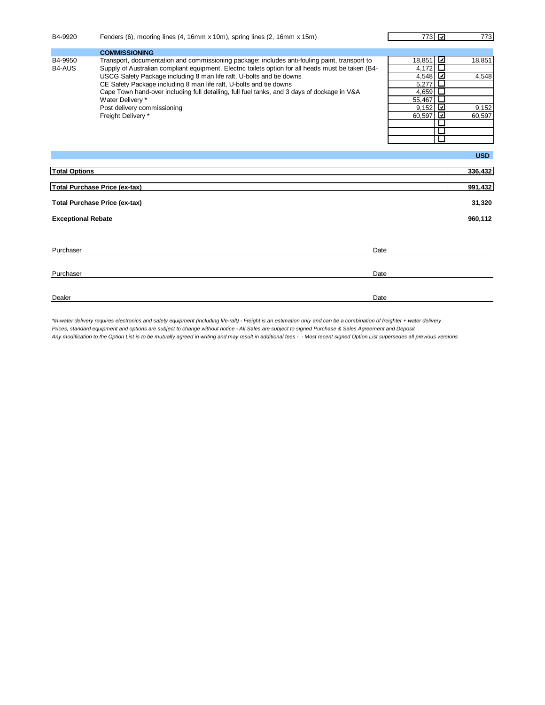| B4-9920                              | Fenders (6), mooring lines (4, 16mm x 10m), spring lines (2, 16mm x 15m)                                                                                                                                                                                                                                                                                                                                                                                                                                                  | 773 [괴]                                                                                                                              | 773                                |  |
|--------------------------------------|---------------------------------------------------------------------------------------------------------------------------------------------------------------------------------------------------------------------------------------------------------------------------------------------------------------------------------------------------------------------------------------------------------------------------------------------------------------------------------------------------------------------------|--------------------------------------------------------------------------------------------------------------------------------------|------------------------------------|--|
|                                      | <b>COMMISSIONING</b>                                                                                                                                                                                                                                                                                                                                                                                                                                                                                                      |                                                                                                                                      |                                    |  |
| B4-9950<br>B4-AUS                    | Transport, documentation and commissioning package: includes anti-fouling paint, transport to<br>Supply of Australian compliant equipment. Electric toilets option for all heads must be taken (B4-<br>USCG Safety Package including 8 man life raft, U-bolts and tie downs<br>CE Safety Package including 8 man life raft, U-bolts and tie downs<br>Cape Town hand-over including full detailing, full fuel tanks, and 3 days of dockage in V&A<br>Water Delivery *<br>Post delivery commissioning<br>Freight Delivery * | ⊻<br>18,851<br>$\Box$<br>4,172<br>☑<br>4,548<br>5,277<br>ш<br>ш<br>4,659<br>ப<br>55,467<br>⊻<br>9,152<br>⊡<br>60,597<br>$\mathsf{L}$ | 18,851<br>4,548<br>9,152<br>60,597 |  |
|                                      |                                                                                                                                                                                                                                                                                                                                                                                                                                                                                                                           |                                                                                                                                      | <b>USD</b>                         |  |
| <b>Total Options</b>                 |                                                                                                                                                                                                                                                                                                                                                                                                                                                                                                                           |                                                                                                                                      | 336,432                            |  |
|                                      | Total Purchase Price (ex-tax)                                                                                                                                                                                                                                                                                                                                                                                                                                                                                             |                                                                                                                                      | 991,432                            |  |
| <b>Total Purchase Price (ex-tax)</b> |                                                                                                                                                                                                                                                                                                                                                                                                                                                                                                                           |                                                                                                                                      |                                    |  |
| <b>Exceptional Rebate</b>            |                                                                                                                                                                                                                                                                                                                                                                                                                                                                                                                           |                                                                                                                                      | 960.112                            |  |
|                                      |                                                                                                                                                                                                                                                                                                                                                                                                                                                                                                                           |                                                                                                                                      |                                    |  |
| Purchaser                            | Date                                                                                                                                                                                                                                                                                                                                                                                                                                                                                                                      |                                                                                                                                      |                                    |  |
| Purchaser                            | Date                                                                                                                                                                                                                                                                                                                                                                                                                                                                                                                      |                                                                                                                                      |                                    |  |
| Dealer                               | Date                                                                                                                                                                                                                                                                                                                                                                                                                                                                                                                      |                                                                                                                                      |                                    |  |

*\*In-water delivery requires electronics and safety equipment (including life-raft) - Freight is an estimation only and can be a combination of freighter + water delivery Prices, standard equipment and options are subject to change without notice - All Sales are subject to signed Purchase & Sales Agreement and Deposit Any modification to the Option List is to be mutually agreed in writing and may result in additional fees - - Most recent signed Option List supersedes all previous versions*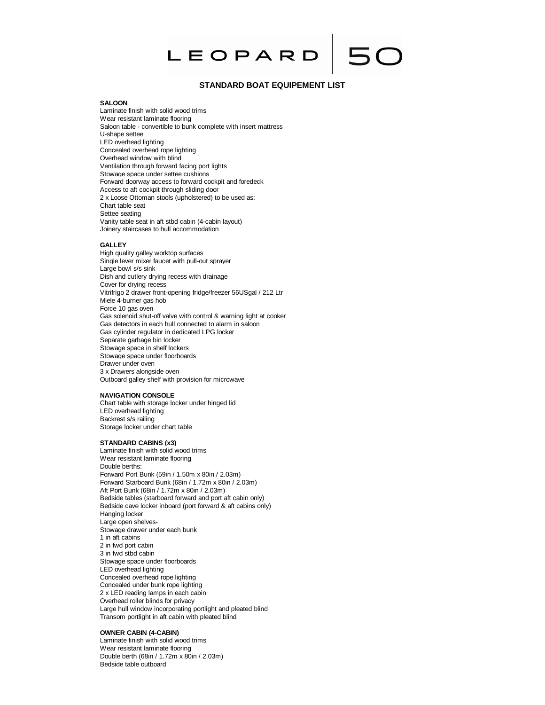

# **STANDARD BOAT EQUIPEMENT LIST**

#### **SALOON**

Laminate finish with solid wood trims Wear resistant laminate flooring Saloon table - convertible to bunk complete with insert mattress U-shape settee LED overhead lighting Concealed overhead rope lighting Overhead window with blind Ventilation through forward facing port lights Stowage space under settee cushions Forward doorway access to forward cockpit and foredeck Access to aft cockpit through sliding door 2 x Loose Ottoman stools (upholstered) to be used as: Chart table seat Settee seating Vanity table seat in aft stbd cabin (4-cabin layout) Joinery staircases to hull accommodation

#### **GALLEY**

High quality galley worktop surfaces Single lever mixer faucet with pull-out sprayer Large bowl s/s sink Dish and cutlery drying recess with drainage Cover for drying recess Vitrifrigo 2 drawer front-opening fridge/freezer 56USgal / 212 Ltr Miele 4-burner gas hob Force 10 gas oven Gas solenoid shut-off valve with control & warning light at cooker Gas detectors in each hull connected to alarm in saloon Gas cylinder regulator in dedicated LPG locker Separate garbage bin locker Stowage space in shelf lockers Stowage space under floorboards Drawer under oven 3 x Drawers alongside oven Outboard galley shelf with provision for microwave

#### **NAVIGATION CONSOLE**

Chart table with storage locker under hinged lid LED overhead lighting Backrest s/s railing Storage locker under chart table

# **STANDARD CABINS (x3)**

Laminate finish with solid wood trims Wear resistant laminate flooring Double berths: Forward Port Bunk (59in / 1.50m x 80in / 2.03m) Forward Starboard Bunk (68in / 1.72m x 80in / 2.03m) Aft Port Bunk (68in / 1.72m x 80in / 2.03m) Bedside tables (starboard forward and port aft cabin only) Bedside cave locker inboard (port forward & aft cabins only) Hanging locker Large open shelves-Stowage drawer under each bunk 1 in aft cabins 2 in fwd port cabin 3 in fwd stbd cabin Stowage space under floorboards LED overhead lighting Concealed overhead rope lighting Concealed under bunk rope lighting 2 x LED reading lamps in each cabin Overhead roller blinds for privacy Large hull window incorporating portlight and pleated blind Transom portlight in aft cabin with pleated blind

# **OWNER CABIN (4-CABIN)**

Laminate finish with solid wood trims Wear resistant laminate flooring Double berth (68in / 1.72m x 80in / 2.03m) Bedside table outboard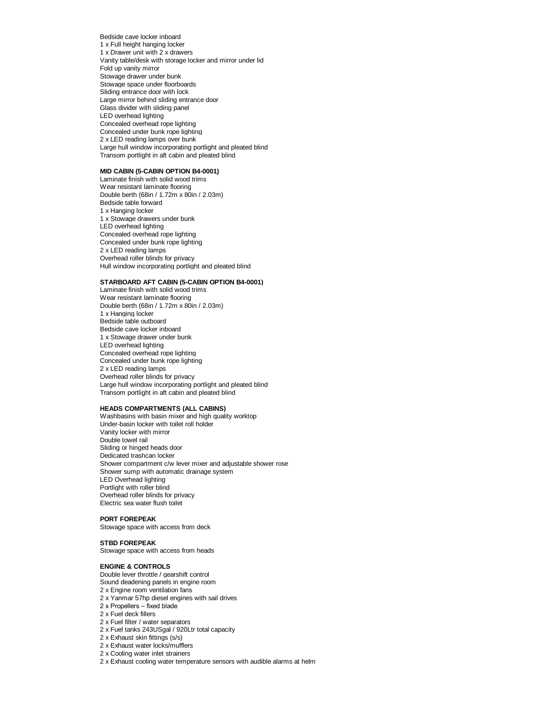Bedside cave locker inboard 1 x Full height hanging locker 1 x Drawer unit with 2 x drawers Vanity table/desk with storage locker and mirror under lid Fold up vanity mirror Stowage drawer under bunk Stowage space under floorboards Sliding entrance door with lock Large mirror behind sliding entrance door Glass divider with sliding panel LED overhead lighting Concealed overhead rope lighting Concealed under bunk rope lighting 2 x LED reading lamps over bunk Large hull window incorporating portlight and pleated blind Transom portlight in aft cabin and pleated blind

# **MID CABIN (5-CABIN OPTION B4-0001)**

Laminate finish with solid wood trims Wear resistant laminate flooring Double berth (68in / 1.72m x 80in / 2.03m) Bedside table forward 1 x Hanging locker 1 x Stowage drawers under bunk LED overhead lighting Concealed overhead rope lighting Concealed under bunk rope lighting 2 x LED reading lamps Overhead roller blinds for privacy Hull window incorporating portlight and pleated blind

#### **STARBOARD AFT CABIN (5-CABIN OPTION B4-0001)**

Laminate finish with solid wood trims Wear resistant laminate flooring Double berth (68in / 1.72m x 80in / 2.03m) 1 x Hanging locker Bedside table outboard Bedside cave locker inboard 1 x Stowage drawer under bunk LED overhead lighting Concealed overhead rope lighting Concealed under bunk rope lighting 2 x LED reading lamps Overhead roller blinds for privacy Large hull window incorporating portlight and pleated blind Transom portlight in aft cabin and pleated blind

## **HEADS COMPARTMENTS (ALL CABINS)**

Washbasins with basin mixer and high quality worktop Under-basin locker with toilet roll holder Vanity locker with mirror Double towel rail Sliding or hinged heads door Dedicated trashcan locker Shower compartment c/w lever mixer and adjustable shower rose Shower sump with automatic drainage system LED Overhead lighting Portlight with roller blind Overhead roller blinds for privacy Electric sea water flush toilet

## **PORT FOREPEAK**

Stowage space with access from deck

# **STBD FOREPEAK**

Stowage space with access from heads

#### **ENGINE & CONTROLS**

Double lever throttle / gearshift control

- Sound deadening panels in engine room
- 2 x Engine room ventilation fans
- 2 x Yanmar 57hp diesel engines with sail drives
- 2 x Propellers fixed blade
- 2 x Fuel deck fillers
- 2 x Fuel filter / water separators
- 2 x Fuel tanks 243USgal / 920Ltr total capacity
- 2 x Exhaust skin fittings (s/s)
- 2 x Exhaust water locks/mufflers
- 2 x Cooling water inlet strainers
- 2 x Exhaust cooling water temperature sensors with audible alarms at helm